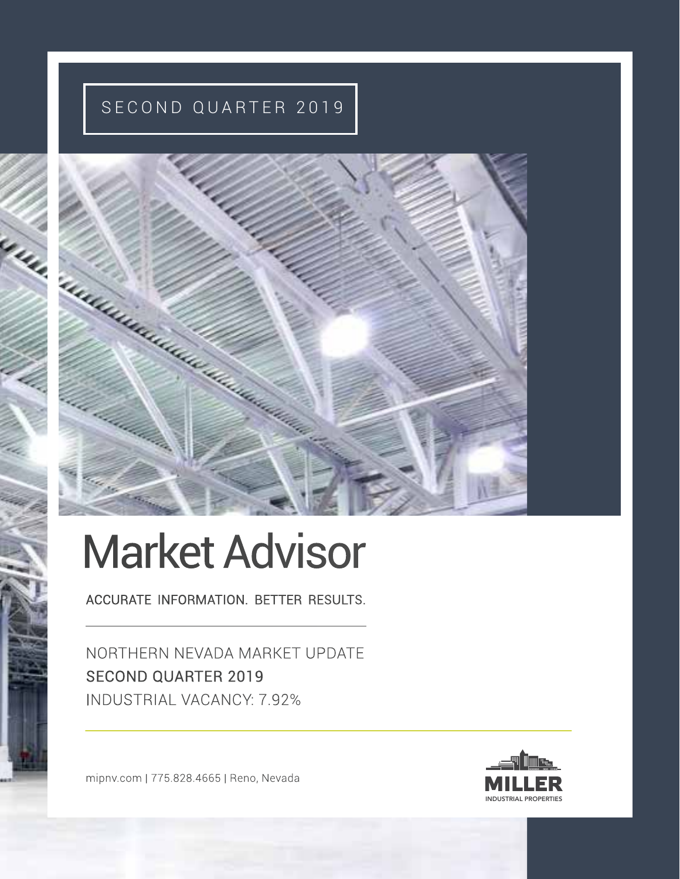### SECOND QUARTER 2019



# Market Advisor

ACCURATE INFORMATION. BETTER RESULTS.

NORTHERN NEVADA MARKET UPDATE SECOND QUARTER 2019 INDUSTRIAL VACANCY: 7.92%

mipnv.com | 775.828.4665 | Reno, Nevada

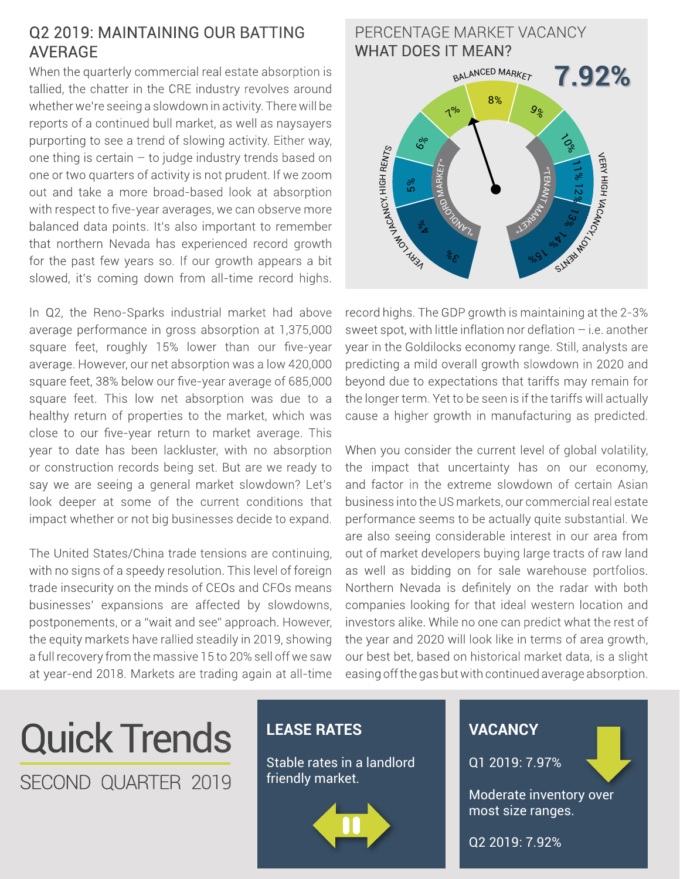#### Q2 2019: MAINTAINING OUR BATTING AVERAGE

When the quarterly commercial real estate absorption is tallied, the chatter in the CRE industry revolves around whether we're seeing a slowdown in activity. There will be reports of a continued bull market, as well as naysayers purporting to see a trend of slowing activity. Either way, one thing is certain – to judge industry trends based on one or two quarters of activity is not prudent. If we zoom out and take a more broad-based look at absorption with respect to five-year averages, we can observe more balanced data points. It's also important to remember that northern Nevada has experienced record growth for the past few years so. If our growth appears a bit slowed, it's coming down from all-time record highs.

In Q2, the Reno-Sparks industrial market had above average performance in gross absorption at 1,375,000 square feet, roughly 15% lower than our five-year average. However, our net absorption was a low 420,000 square feet, 38% below our five-year average of 685,000 square feet. This low net absorption was due to a healthy return of properties to the market, which was close to our five-year return to market average. This year to date has been lackluster, with no absorption or construction records being set. But are we ready to say we are seeing a general market slowdown? Let's look deeper at some of the current conditions that impact whether or not big businesses decide to expand.

The United States/China trade tensions are continuing, with no signs of a speedy resolution. This level of foreign trade insecurity on the minds of CEOs and CFOs means businesses' expansions are affected by slowdowns, postponements, or a "wait and see" approach. However, the equity markets have rallied steadily in 2019, showing a full recovery from the massive 15 to 20% sell off we saw at year-end 2018. Markets are trading again at all-time

#### $3\delta$  $\frac{1}{\sigma_{\mathbf{Z}}}$ 5 % 6% 6% <sup>7</sup>% <sup>7</sup>% 8% 8%  $9$  $\overrightarrow{O}_{\!\!S}$ 11% 12 % 1 3% 9/05 0/08 PERCENTAGE MARKET VACANCY WHAT DOES IT MEAN? **7.92%** " $\overline{\phantom{a}}$ Ez  $\overline{\mathsf{X}}$ **MARKET**  $\gamma_{\nu_{\lambda_{n}}}$ Royo M ARKET" BALANCED MARKET **VERY VACANCY, HIGH RENTS** VERY HIGH VACANCY, SlM3bMO  $3^{\circ}$  $\frac{6}{2}$ 5 %  $\zeta$ 11% 12 % 1 3% 9/05 1 % 1

record highs. The GDP growth is maintaining at the 2-3% sweet spot, with little inflation nor deflation – i.e. another year in the Goldilocks economy range. Still, analysts are predicting a mild overall growth slowdown in 2020 and beyond due to expectations that tariffs may remain for the longer term. Yet to be seen is if the tariffs will actually cause a higher growth in manufacturing as predicted.

When you consider the current level of global volatility, the impact that uncertainty has on our economy, and factor in the extreme slowdown of certain Asian business into the US markets, our commercial real estate performance seems to be actually quite substantial. We are also seeing considerable interest in our area from out of market developers buying large tracts of raw land as well as bidding on for sale warehouse portfolios. Northern Nevada is definitely on the radar with both companies looking for that ideal western location and investors alike. While no one can predict what the rest of the year and 2020 will look like in terms of area growth, our best bet, based on historical market data, is a slight easing off the gas but with continued average absorption.

## Quick Trends SECOND QUARTER 2019

#### **LEASE RATES**

Stable rates in a landlord friendly market.



#### **VACANCY**

Q1 2019: 7.97%

Moderate inventory over most size ranges.

Q2 2019: 7.92%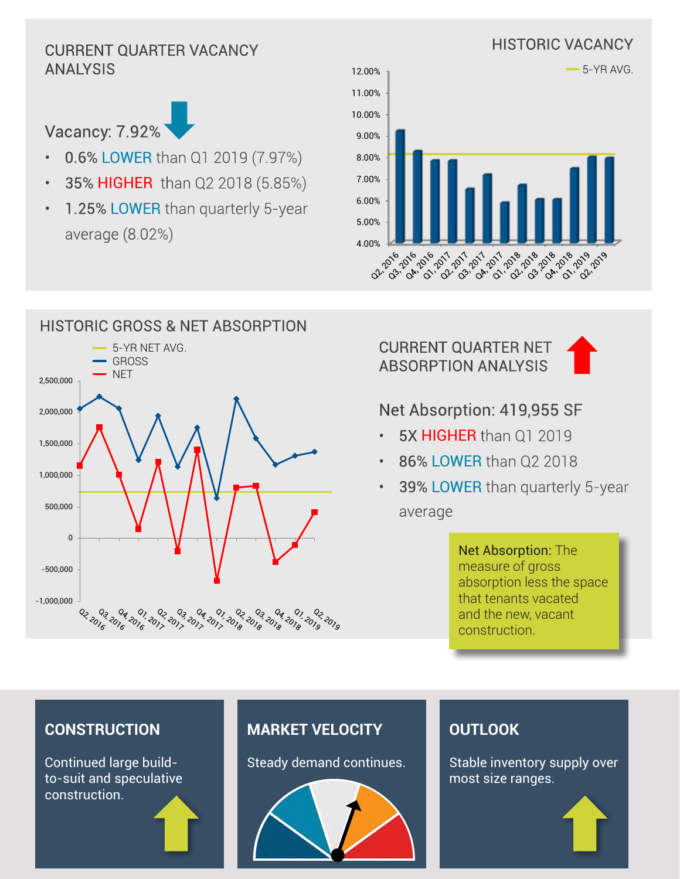#### HISTORIC VACANCY CURRENT QUARTER VACANCY ANALYSIS



- 0.6% LOWER than Q1 2019 (7.97%)
- 35% HIGHER than Q2 2018 (5.85%)
- 1.25% LOWER than quarterly 5-year average (8.02%)





#### HISTORIC GROSS & NET ABSORPTION 5-YR NET AVG. GROSS **NET** 2,500,000 2,000,000 1,500,000 1,000,000 500,000 0 -500,000 -1,000,000 02, 2016 0<sub>3, 201</sup>6</sub> 610 و 2019 و10 و10 و10 و10 ذرق ذرق ذرق درق و 10 و 10 و 10<br>دی دن دن دی دی دی دی دی در دن ده در در در در در در در

CURRENT QUARTER NET ABSORPTION ANALYSIS



#### Net Absorption: 419,955 SF

- 5X HIGHER than 01 2019
- 86% LOWER than Q2 2018
- 39% LOWER than quarterly 5-year average

Net Absorption: The measure of gross absorption less the space that tenants vacated and the new, vacant construction.

#### **CONSTRUCTION**

Continued large buildto-suit and speculative construction.

#### **MARKET VELOCITY**

Steady demand continues.



#### **OUTLOOK**

Stable inventory supply over most size ranges.